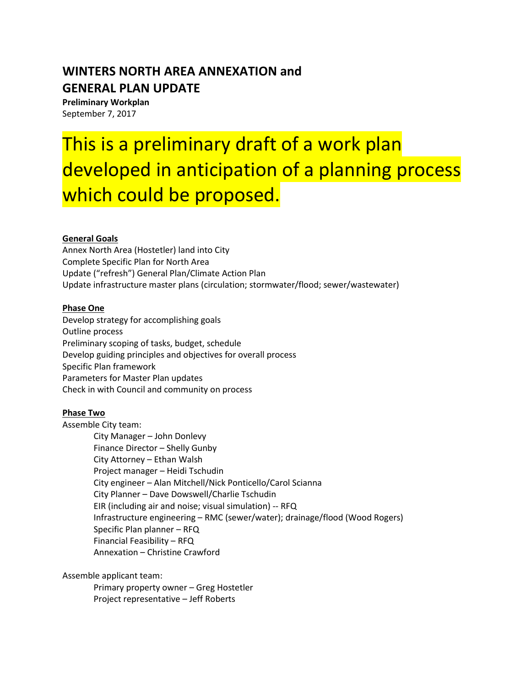# **WINTERS NORTH AREA ANNEXATION and GENERAL PLAN UPDATE**

**Preliminary Workplan** September 7, 2017

# This is a preliminary draft of a work plan developed in anticipation of a planning process which could be proposed.

## **General Goals**

Annex North Area (Hostetler) land into City Complete Specific Plan for North Area Update ("refresh") General Plan/Climate Action Plan Update infrastructure master plans (circulation; stormwater/flood; sewer/wastewater)

### **Phase One**

Develop strategy for accomplishing goals Outline process Preliminary scoping of tasks, budget, schedule Develop guiding principles and objectives for overall process Specific Plan framework Parameters for Master Plan updates Check in with Council and community on process

### **Phase Two**

Assemble City team:

City Manager – John Donlevy Finance Director – Shelly Gunby City Attorney – Ethan Walsh Project manager – Heidi Tschudin City engineer – Alan Mitchell/Nick Ponticello/Carol Scianna City Planner – Dave Dowswell/Charlie Tschudin EIR (including air and noise; visual simulation) -- RFQ Infrastructure engineering – RMC (sewer/water); drainage/flood (Wood Rogers) Specific Plan planner – RFQ Financial Feasibility – RFQ Annexation – Christine Crawford

Assemble applicant team:

Primary property owner – Greg Hostetler Project representative – Jeff Roberts